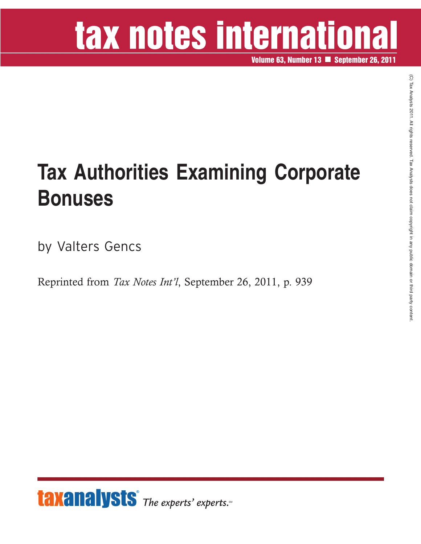## tax notes international

**Volume 63, Number 13 September 26, 2011**

## **Tax Authorities Examining Corporate Bonuses**

by Valters Gencs

Reprinted from *Tax Notes Int'l*, September 26, 2011, p. 939